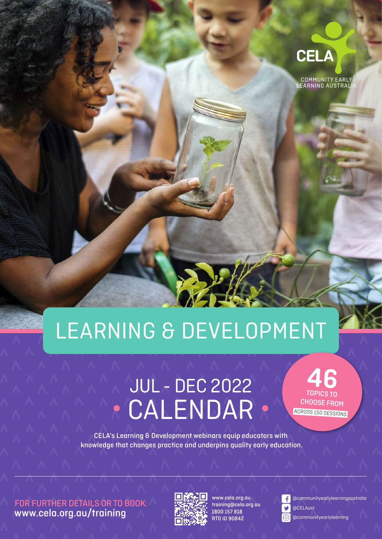

# LEARNING & DEVELOPMENT

## JUL - DEC 2022 **CALENDAR .**

46 TOPICS TO CHOOSE FROM ACROSS 150 SESSIONS

CELA's Learning & Development webinars equip educators with knowledge that changes practice and underpins quality early education.

FOR FURTHER DETAILS OR TO BOOK: [www.cela.org.au/training](https://www.cela.org.au/training)



www.cela.org.au training@cela.org.au 1800 157 818 RTO ID 90842



@communityearlylearningaustralia

@CELAust

@communityearlylearning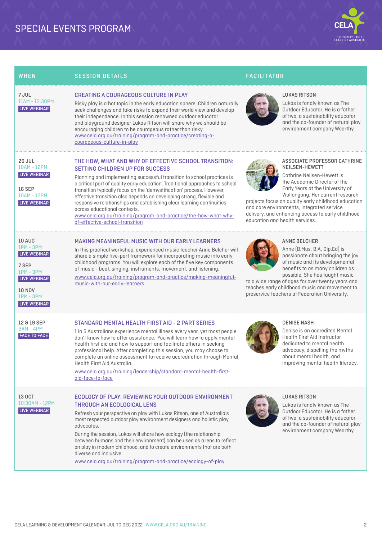## SPECIAL EVENTS PROGRAM



| WHEN                                                                                                                                                       | <b>SESSION DETAILS</b>                                                                                                                                                                                                                                                                                                                                                                                                                                                                                                                                                                                                   | <b>FACILITATOR</b>                                                                                                                                                                                                                                                                                                                                                              |
|------------------------------------------------------------------------------------------------------------------------------------------------------------|--------------------------------------------------------------------------------------------------------------------------------------------------------------------------------------------------------------------------------------------------------------------------------------------------------------------------------------------------------------------------------------------------------------------------------------------------------------------------------------------------------------------------------------------------------------------------------------------------------------------------|---------------------------------------------------------------------------------------------------------------------------------------------------------------------------------------------------------------------------------------------------------------------------------------------------------------------------------------------------------------------------------|
| 7 JUL<br>11AM - 12.30PM<br>LIVE WEBINAR                                                                                                                    | <b>CREATING A COURAGEOUS CULTURE IN PLAY</b><br>Risky play is a hot topic in the early education sphere. Children naturally<br>seek challenges and take risks to expand their world view and develop<br>their independence. In this session renowned outdoor educator<br>and playground designer Lukas Ritson will share why we should be<br>encouraging children to be courageous rather than risky.<br>www.cela.org.au/training/program-and-practice/creating-a-<br>courageous-culture-in-play                                                                                                                         | <b>LUKAS RITSON</b><br>Lukas is fondly known as The<br>Outdoor Educator. He is a father<br>of two, a sustainability educator<br>and the co-founder of natural play<br>environment company Wearthy.                                                                                                                                                                              |
| <b>26 JUL</b><br><b>10AM - 12PM</b><br><b>LIVE WEBINAR</b><br>16 SEP<br><b>10AM - 12PM</b><br>LIVE WEBINAR                                                 | THE HOW, WHAT AND WHY OF EFFECTIVE SCHOOL TRANSITION:<br><b>SETTING CHILDREN UP FOR SUCCESS</b><br>Planning and implementing successful transition to school practices is<br>a critical part of quality early education. Traditional approaches to school<br>transition typically focus on the 'demystification' process. However,<br>effective transition also depends on developing strong, flexible and<br>responsive relationships and establishing clear learning continuities<br>across educational contexts.<br>www.cela.org.au/training/program-and-practice/the-how-what-why-<br>of-effective-school-transition | ASSOCIATE PROFESSOR CATHRINE<br>NEILSEN-HEWETT<br>Cathrine Neilsen-Hewett is<br>the Academic Director of the<br>Early Years at the University of<br>Wollongong. Her current research<br>projects focus on quality early childhood education<br>and care environments, integrated service<br>delivery, and enhancing access to early childhood<br>education and health services. |
| <b>10 AUG</b><br><b>IPM - 3PM</b><br>LIVE WEBINAR<br>7 SEP<br><b>IPM - 3PM</b><br>LIVE WEBINAR<br><b>10 NOV</b><br><b>IPM - 3PM</b><br><b>LIVE WEBINAR</b> | <b>MAKING MEANINGFUL MUSIC WITH OUR EARLY LEARNERS</b><br>In this practical workshop, experienced music teacher Anne Belcher will<br>share a simple five-part framework for incorporating music into early<br>childhood programs. You will explore each of the five key components<br>of music - beat, singing, instruments, movement, and listening.<br>www.cela.org.au/training/program-and-practice/making-meaningful-<br>music-with-our-early-learners                                                                                                                                                               | <b>ANNE BELCHER</b><br>Anne (B.Mus, B.A, Dip.Ed) is<br>passionate about bringing the joy<br>of music and its developmental<br>benefits to as many children as<br>possible. She has taught music<br>to a wide range of ages for over twenty years and<br>teaches early childhood music and movement to<br>preservice teachers at Federation University.                          |
| 12 & 19 SEP<br><b>9AM - 4PM</b><br><b>FACE TO FACE</b>                                                                                                     | STANDARD MENTAL HEALTH FIRST AID - 2 PART SERIES<br>1 in 5 Australians experience mental illness every year, yet most people<br>don't know how to offer assistance. You will learn how to apply mental<br>health first aid and how to support and facilitate others in seeking<br>professional help. After completing this session, you may choose to<br>complete an online assessment to receive accreditation through Mental<br>Health First Aid Australia.<br>www.cela.org.au/training/leadership/standard-mental-health-first-<br>aid-face-to-face                                                                   | <b>DENISE NASH</b><br>Denise is an accredited Mental<br>Health First Aid Instructor<br>dedicated to mental health<br>advocacy, dispelling the myths<br>about mental health, and<br>improving mental health literacy.                                                                                                                                                            |
| 13 OCT<br>10:30AM - 12PM<br>LIVE WEBINAR                                                                                                                   | ECOLOGY OF PLAY: REVIEWING YOUR OUTDOOR ENVIRONMENT<br><b>THROUGH AN ECOLOGICAL LENS</b><br>Refresh your perspective on play with Lukas Ritson, one of Australia's<br>most respected outdoor play environment designers and holistic play<br>advocates.<br>During the session, Lukas will share how ecology (the relationship<br>between humans and their environment) can be used as a lens to reflect<br>on play in modern childhood, and to create environments that are both<br>diverse and inclusive.<br>www.cela.org.au/training/program-and-practice/ecology-of-play                                              | <b>LUKAS RITSON</b><br>Lukas is fondly known as The<br>Outdoor Educator. He is a father<br>of two, a sustainability educator<br>and the co-founder of natural play<br>environment company Wearthy.                                                                                                                                                                              |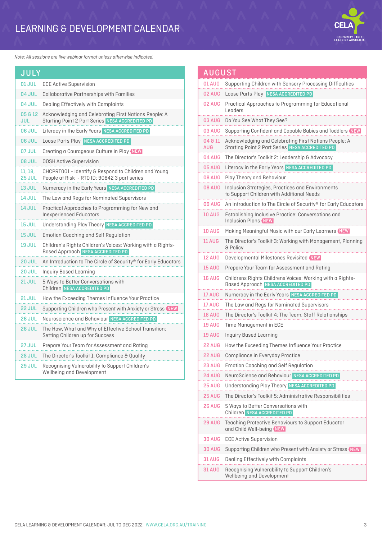## LEARNING & DEVELOPMENT CALENDAR



*Note: All sessions are live webinar format unless otherwise indicated.*

| <b>JULY</b>       |                                                                                                                 |
|-------------------|-----------------------------------------------------------------------------------------------------------------|
| <b>01 JUL</b>     | <b>ECE Active Supervision</b>                                                                                   |
| <b>04 JUL</b>     | <b>Collaborative Partnerships with Families</b>                                                                 |
| 04 JUL            | Dealing Effectively with Complaints                                                                             |
| 05 & 12<br>JUL    | Acknowledging and Celebrating First Nations People: A<br><b>Starting Point 2 Part Series NESA ACCREDITED PD</b> |
| 06 JUL            | Literacy in the Early Years NESA ACCREDITED PD                                                                  |
| 06 JUL            | Loose Parts Play NESA ACCREDITED PD                                                                             |
| <b>07 JUL</b>     | Creating a Courageous Culture in Play NEW                                                                       |
| <b>08 JUL</b>     | <b>OOSH Active Supervision</b>                                                                                  |
| 11, 18,<br>25 JUL | CHCPRT001 - Identify & Respond to Children and Young<br>People at Risk - RTO ID: 90842 3 part series            |
| 13 JUL            | Numeracy in the Early Years NESA ACCREDITED PD                                                                  |
| <b>14 JUL</b>     | The Law and Regs for Nominated Supervisors                                                                      |
| <b>14 JUL</b>     | Practical Approaches to Programming for New and<br><b>Inexperienced Educators</b>                               |
| <b>15 JUL</b>     | Understanding Play Theory NESA ACCREDITED PD                                                                    |
| <b>15 JUL</b>     | <b>Emotion Coaching and Self Regulation</b>                                                                     |
| <b>19 JUL</b>     | Children's Rights Children's Voices: Working with a Rights-<br><b>Based Approach NESA ACCREDITED PD</b>         |
| <b>20 JUL</b>     | An Introduction to The Circle of Security® for Early Educators                                                  |
| <b>20 JUL</b>     | Inquiry Based Learning                                                                                          |
| <b>21 JUL</b>     | 5 Ways to Better Conversations with<br>Children NESA ACCREDITED PD                                              |
| <b>21 JUL</b>     | How the Exceeding Themes Influence Your Practice                                                                |
| <b>22 JUL</b>     | Supporting Children who Present with Anxiety or Stress NEW                                                      |
| <b>26 JUL</b>     | Neuroscience and Behaviour NESA ACCREDITED PD                                                                   |
| <b>26 JUL</b>     | The How, What and Why of Effective School Transition:<br>Setting Children up for Success                        |
| <b>27 JUL</b>     | Prepare Your Team for Assessment and Rating                                                                     |
| <b>28 JUL</b>     | The Director's Toolkit 1: Compliance & Quality                                                                  |
| <b>29 JUL</b>     | Recognising Vulnerability to Support Children's<br>Wellbeing and Development                                    |

| <b>AUGUST</b>  |                                                                                                          |
|----------------|----------------------------------------------------------------------------------------------------------|
| <b>01 AUG</b>  | Supporting Children with Sensory Processing Difficulties                                                 |
| <b>02 AUG</b>  | Loose Parts Play NESA ACCREDITED PD                                                                      |
| <b>02 AUG</b>  | Practical Approaches to Programming for Educational<br>Leaders                                           |
| <b>03 AUG</b>  | Do You See What They See?                                                                                |
| <b>03 AUG</b>  | Supporting Confident and Capable Babies and Toddlers NEW                                                 |
| 04 & 11<br>AUG | Acknowledging and Celebrating First Nations People: A<br>Starting Point 2 Part Series NESA ACCREDITED PD |
| 04 AUG         | The Director's Toolkit 2: Leadership & Advocacy                                                          |
| 05 AUG         | Literacy in the Early Years NESA ACCREDITED PD                                                           |
| <b>08 AUG</b>  | Play Theory and Behaviour                                                                                |
| 08 AUG         | Inclusion Strategies, Practices and Environments<br>to Support Children with Additional Needs            |
| <b>09 AUG</b>  | An Introduction to The Circle of Security® for Early Educators                                           |
| <b>10 AUG</b>  | Establishing Inclusive Practice: Conversations and<br><b>Inclusion Plans NEW</b>                         |
| <b>10 AUG</b>  | Making Meaningful Music with our Early Learners NEW                                                      |
| <b>11 AUG</b>  | The Director's Toolkit 3: Working with Management, Planning<br>& Policy                                  |
| <b>12 AUG</b>  | Developmental Milestones Revisited NEW                                                                   |
| <b>15 AUG</b>  | Prepare Your Team for Assessment and Rating                                                              |
| <b>16 AUG</b>  | Childrens Rights Childrens Voices: Working with a Rights-<br>Based Approach NESA ACCREDITED PD           |
| 17 AUG         | Numeracy in the Early Years NESA ACCREDITED PD                                                           |
| 17 AUG         | The Law and Regs for Nominated Supervisors                                                               |
| <b>18 AUG</b>  | The Director's Toolkit 4: The Team, Staff Relationships                                                  |
| <b>19 AUG</b>  | Time Management in ECE                                                                                   |
| <b>19 AUG</b>  | <b>Inquiry Based Learning</b>                                                                            |
| 22 AUG         | How the Exceeding Themes Influence Your Practice                                                         |
| <b>22 AUG</b>  | Compliance in Everyday Practice                                                                          |
| <b>23 AUG</b>  | <b>Emotion Coaching and Self Regulation</b>                                                              |
| <b>24 AUG</b>  | NeuroScience and Behaviour NESA ACCREDITED PD                                                            |
| <b>25 AUG</b>  | Understanding Play Theory NESA ACCREDITED PD                                                             |
| <b>25 AUG</b>  | The Director's Toolkit 5: Administrative Responsibilities                                                |
| <b>26 AUG</b>  | 5 Ways to Better Conversations with<br>Children NESA ACCREDITED PD                                       |
| <b>29 AUG</b>  | Teaching Protective Behaviours to Support Educator<br>and Child Well-being NEW                           |
| <b>30 AUG</b>  | <b>ECE Active Supervision</b>                                                                            |
| <b>30 AUG</b>  | Supporting Children who Present with Anxiety or Stress NEW                                               |
| <b>31 AUG</b>  | Dealing Effectively with Complaints                                                                      |
| <b>31 AUG</b>  | Recognising Vulnerability to Support Children's<br>Wellbeing and Development                             |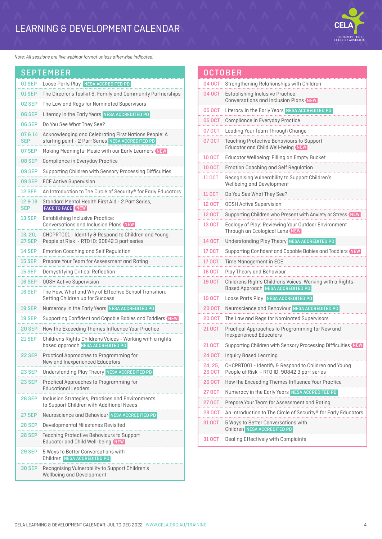## LEARNING & DEVELOPMENT CALENDAR



*Note: All sessions are live webinar format unless otherwise indicated.*

|                          | <b>SEPTEMBER</b>                                                                                           |
|--------------------------|------------------------------------------------------------------------------------------------------------|
| <b>01 SEP</b>            | Loose Parts Play NESA ACCREDITED PD                                                                        |
| 01 SEP                   | The Director's Toolkit 6: Family and Community Partnerships                                                |
| <b>02 SEP</b>            | The Law and Regs for Nominated Supervisors                                                                 |
| <b>06 SEP</b>            | Literacy in the Early Years NESA ACCREDITED PD                                                             |
| <b>06 SEP</b>            | Do You See What They See?                                                                                  |
| 07814<br><b>SEP</b>      | Acknowledging and Celebrating First Nations People: A<br>starting point - 2 Part Series NESA ACCREDITED PD |
| 07 SEP                   | Making Meaningful Music with our Early Learners NEW                                                        |
| <b>08 SEP</b>            | Compliance in Everyday Practice                                                                            |
| <b>09 SEP</b>            | Supporting Children with Sensory Processing Difficulties                                                   |
| 09 SEP                   | <b>ECE Active Supervision</b>                                                                              |
| <b>12 SEP</b>            | An Introduction to The Circle of Security® for Early Educators                                             |
| 12819<br><b>SEP</b>      | Standard Mental Health First Aid - 2 Part Series,<br><b>FACE TO FACE NEW</b>                               |
| <b>13 SEP</b>            | <b>Establishing Inclusive Practice:</b><br>Conversations and Inclusion Plans (NEW)                         |
| 13, 20,<br><b>27 SEP</b> | CHCPRT001 - Identify & Respond to Children and Young<br>People at Risk - RTO ID: 90842 3 part series       |
| 14 SEP                   | <b>Emotion Coaching and Self Regulation</b>                                                                |
| <b>15 SEP</b>            | Prepare Your Team for Assessment and Rating                                                                |
| <b>15 SEP</b>            | Demystifying Critical Reflection                                                                           |
| <b>16 SEP</b>            | <b>OOSH Active Supervision</b>                                                                             |
| <b>16 SEP</b>            | The How, What and Why of Effective School Transition:<br>Setting Children up for Success                   |
| <b>19 SEP</b>            | Numeracy in the Early Years NESA ACCREDITED PD                                                             |
| <b>19 SEP</b>            | Supporting Confident and Capable Babies and Toddlers NEW                                                   |
| <b>20 SEP</b>            | How the Exceeding Themes Influence Your Practice                                                           |
| <b>21 SEP</b>            | Childrens Rights Childrens Voices - Working with a rights<br>based approach NESA ACCREDITED PD             |
| <b>22 SEP</b>            | Practical Approaches to Programming for<br>New and Inexperienced Educators                                 |
| <b>23 SEP</b>            | Understanding Play Theory NESA ACCREDITED PD                                                               |
| 23 SEP                   | Practical Approaches to Programming for<br><b>Educational Leaders</b>                                      |
| 26 SEP                   | Inclusion Strategies, Practices and Environments<br>to Support Children with Additional Needs              |
| 27 SEP                   | Neuroscience and Behaviour NESA ACCREDITED PD                                                              |
| <b>28 SEP</b>            | Developmental Milestones Revisited                                                                         |
| <b>28 SEP</b>            | Teaching Protective Behaviours to Support<br>Educator and Child Well-being NEW                             |
| <b>29 SEP</b>            | 5 Ways to Better Conversations with<br>Children NESA ACCREDITED PD                                         |
| <b>30 SEP</b>            | Recognising Vulnerability to Support Children's<br>Wellbeing and Development                               |

|                   | OCTOBER                                                                                              |
|-------------------|------------------------------------------------------------------------------------------------------|
| 04 OCT            | Strengthening Relationships with Children                                                            |
| 04 OCT            | <b>Establishing Inclusive Practice:</b><br>Conversations and Inclusion Plans NEW                     |
| <b>05 OCT</b>     | Literacy in the Early Years NESA ACCREDITED PD                                                       |
| <b>05 OCT</b>     | Compliance in Everyday Practice                                                                      |
| 07 OCT            | Leading Your Team Through Change                                                                     |
| 07 OCT            | <b>Teaching Protective Behaviours to Support</b><br>Educator and Child Well-being NEW                |
| 10 OCT            | Educator Wellbeing: Filling an Empty Bucket                                                          |
| <b>10 OCT</b>     | <b>Emotion Coaching and Self Regulation</b>                                                          |
| <b>11 OCT</b>     | Recognising Vulnerability to Support Children's<br>Wellbeing and Development                         |
| <b>11 OCT</b>     | Do You See What They See?                                                                            |
| <b>12 OCT</b>     | <b>00SH Active Supervision</b>                                                                       |
| <b>12 OCT</b>     | Supporting Children who Present with Anxiety or Stress NEW                                           |
| <b>13 OCT</b>     | Ecology of Play: Reviewing Your Outdoor Environment<br>Through an Ecological Lens NEW                |
| 14 OCT            | Understanding Play Theory NESA ACCREDITED PD                                                         |
| <b>17 OCT</b>     | Supporting Confident and Capable Babies and Toddlers NEW                                             |
| 17 OCT            | Time Management in ECE                                                                               |
| <b>18 OCT</b>     | Play Theory and Behaviour                                                                            |
| <b>19 OCT</b>     | Childrens Rights Childrens Voices: Working with a Rights-<br>Based Approach NESA ACCREDITED PD       |
| 19 OCT            | Loose Parts Play NESA ACCREDITED PD                                                                  |
| 20 OCT            | Neuroscience and Behaviour NESA ACCREDITED PD                                                        |
| <b>20 OCT</b>     | The Law and Regs for Nominated Supervisors                                                           |
| 21 OCT            | Practical Approaches to Programming for New and<br><b>Inexperienced Educators</b>                    |
| 21 OCT            | Supporting Children with Sensory Processing Difficulties (NEW                                        |
| 24 OCT            | <b>Inquiry Based Learning</b>                                                                        |
| 24, 25,<br>26 OCT | CHCPRT001 - Identify & Respond to Children and Young<br>People at Risk - RTO ID: 90842 3 part series |
| <b>26 OCT</b>     | How the Exceeding Themes Influence Your Practice                                                     |
| 27 OCT            | Numeracy in the Early Years NESA ACCREDITED PD                                                       |
| 27 OCT            | Prepare Your Team for Assessment and Rating                                                          |
| <b>28 OCT</b>     | An Introduction to The Circle of Security® for Early Educators                                       |
| 31 OCT            | 5 Ways to Better Conversations with<br>Children NESA ACCREDITED PD                                   |
| 31 OCT            | Dealing Effectively with Complaints                                                                  |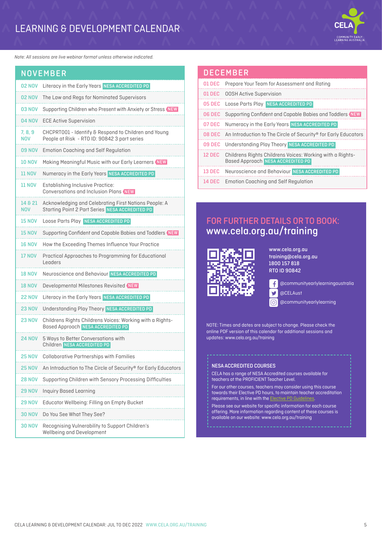### LEARNING & DEVELOPMENT CALENDAR



*Note: All sessions are live webinar format unless otherwise indicated.*

| <b>NOVEMBER</b>       |                                                                                                          |  |
|-----------------------|----------------------------------------------------------------------------------------------------------|--|
| <b>02 NOV</b>         | Literacy in the Early Years NESA ACCREDITED PD                                                           |  |
| <b>02 NOV</b>         | The Law and Regs for Nominated Supervisors                                                               |  |
| <b>03 NOV</b>         | Supporting Children who Present with Anxiety or Stress NEW                                               |  |
| <b>04 NOV</b>         | <b>ECE Active Supervision</b>                                                                            |  |
| 7, 8, 9<br><b>NOV</b> | CHCPRT001 - Identify & Respond to Children and Young<br>People at Risk - RTO ID: 90842 3 part series     |  |
| <b>09 NOV</b>         | <b>Emotion Coaching and Self Regulation</b>                                                              |  |
| <b>10 NOV</b>         | Making Meaningful Music with our Early Learners (NEW                                                     |  |
| <b>11 NOV</b>         | Numeracy in the Early Years NESA ACCREDITED PD                                                           |  |
| <b>11 NOV</b>         | <b>Establishing Inclusive Practice:</b><br>Conversations and Inclusion Plans NEW                         |  |
| 14 & 21<br><b>NOV</b> | Acknowledging and Celebrating First Nations People: A<br>Starting Point 2 Part Series NESA ACCREDITED PD |  |
| <b>15 NOV</b>         | Loose Parts Play NESA ACCREDITED PD                                                                      |  |
| <b>15 NOV</b>         | Supporting Confident and Capable Babies and Toddlers NEW                                                 |  |
| <b>16 NOV</b>         | How the Exceeding Themes Influence Your Practice                                                         |  |
| <b>17 NOV</b>         | Practical Approaches to Programming for Educational<br>l enders                                          |  |
| <b>18 NOV</b>         | Neuroscience and Behaviour NESA ACCREDITED PD                                                            |  |
| <b>18 NOV</b>         | Developmental Milestones Revisited NEW                                                                   |  |
| <b>22 NOV</b>         | Literacy in the Early Years NESA ACCREDITED PD                                                           |  |
| <b>23 NOV</b>         | Understanding Play Theory NESA ACCREDITED PD                                                             |  |
| <b>23 NOV</b>         | Childrens Rights Childrens Voices: Working with a Rights-<br><b>Based Approach NESA ACCREDITED PD</b>    |  |
| <b>24 NOV</b>         | 5 Ways to Better Conversations with<br>Children NESA ACCREDITED PD                                       |  |
|                       | <b>Collaborative Partnerships with Families</b>                                                          |  |
| <b>25 NOV</b>         | An Introduction to The Circle of Security® for Early Educators                                           |  |
| <b>28 NOV</b>         | Supporting Children with Sensory Processing Difficulties                                                 |  |
| <b>29 NOV</b>         | <b>Inquiry Based Learning</b>                                                                            |  |
| <b>29 NOV</b>         | Educator Wellbeing: Filling an Empty Bucket                                                              |  |
| <b>30 NOV</b>         | Do You See What They See?                                                                                |  |
| <b>30 NOV</b>         | Recognising Vulnerability to Support Children's<br>Wellbeing and Development                             |  |

#### DECEMBER 01 DEC Prepare Your Team for Assessment and Rating 01 DEC OOSH Active Supervision 05 DEC Loose Parts Play NESA ACCREDITED PD 06 DEC Supporting Confident and Capable Babies and Toddlers NEW 07 DEC Numeracy in the Early Years NESA ACCREDITED PD 08 DEC An Introduction to The Circle of Security® for Early Educators

|               | 09 DEC Understanding Play Theory NESA ACCREDITED PD                                                   |
|---------------|-------------------------------------------------------------------------------------------------------|
| <b>12 DEC</b> | Childrens Rights Childrens Voices: Working with a Rights-<br><b>Based Approach NESA ACCREDITED PD</b> |
|               | 13 DEC Neuroscience and Behaviour NESA ACCREDITED PD                                                  |

14 DEC Emotion Coaching and Self Regulation

#### FOR FURTHER DETAILS OR TO BOOK: [www.cela.org.au/training](https://www.cela.org.au/training)



www.cela.org.au training@cela.org.au 1800 157 818 RTO ID 90842

£ @communityearlylearningaustralia

@CELAust

@communityearlylearning

NOTE: Times and dates are subject to change. Please check the online PDF version of this calendar for additional sessions and updates: [www.cela.org.au/training](https://www.cela.org.au/training)

Ý ତା

#### NESA ACCREDITED COURSES

CELA has a range of NESA Accredited courses available for teachers at the PROFICIENT Teacher Level.

For our other courses, teachers may consider using this course towards their Elective PD hours, to maintain teacher accreditation requirements, in line with the **Elective P** 

Please see our website for specific information for each course offering. More information regarding content of these courses is available on our website: www.cela.org.au/training